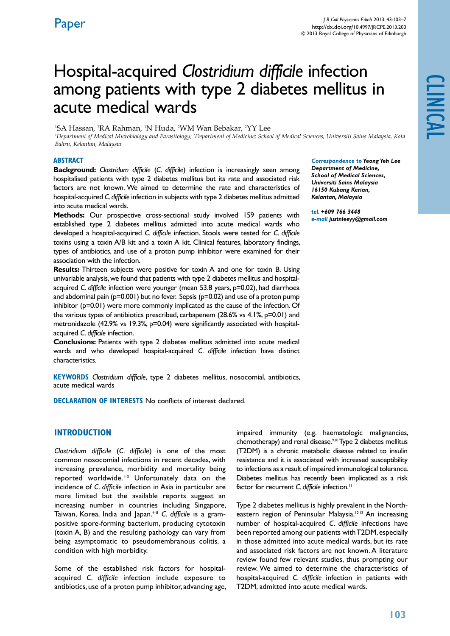# Hospital-acquired *Clostridium difficile* infection among patients with type 2 diabetes mellitus in acute medical wards

<sup>1</sup>SA Hassan, <sup>2</sup>RA Rahman, <sup>1</sup>N Huda, <sup>2</sup>WM Wan Bebakar, <sup>2</sup>YY Lee

*1 Department of Medical Microbiology and Parasitology; 2 Department of Medicine; School of Medical Sciences, Universiti Sains Malaysia, Kota Bahru, Kelantan, Malaysia*

## **ABSTRACT**

**Background:** *Clostridum difficile* (*C. difficile*) infection is increasingly seen among hospitalised patients with type 2 diabetes mellitus but its rate and associated risk factors are not known. We aimed to determine the rate and characteristics of hospital-acquired *C. difficile* infection in subjects with type 2 diabetes mellitus admitted into acute medical wards.

**Methods:** Our prospective cross-sectional study involved 159 patients with established type 2 diabetes mellitus admitted into acute medical wards who developed a hospital-acquired *C. difficile* infection. Stools were tested for *C. difficile*  toxins using a toxin A/B kit and a toxin A kit. Clinical features, laboratory findings, types of antibiotics, and use of a proton pump inhibitor were examined for their association with the infection.

**Results:** Thirteen subjects were positive for toxin A and one for toxin B. Using univariable analysis, we found that patients with type 2 diabetes mellitus and hospitalacquired *C. difficile* infection were younger (mean 53.8 years, p=0.02), had diarrhoea and abdominal pain ( $p=0.001$ ) but no fever. Sepsis ( $p=0.02$ ) and use of a proton pump inhibitor (p=0.01) were more commonly implicated as the cause of the infection. Of the various types of antibiotics prescribed, carbapenem (28.6% vs 4.1%, p=0.01) and metronidazole (42.9% vs 19.3%, p=0.04) were significantly associated with hospitalacquired *C. difficile* infection.

**Conclusions:** Patients with type 2 diabetes mellitus admitted into acute medical wards and who developed hospital-acquired *C. difficile* infection have distinct characteristics.

**Keywords** *Clostridium difficile*, type 2 diabetes mellitus, nosocomial, antibiotics, acute medical wards

**Declaration of Interests** No conflicts of interest declared.

## **INTRODUCTION**

*Clostridium difficile* (*C. difficile*) is one of the most common nosocomial infections in recent decades, with increasing prevalence, morbidity and mortality being reported worldwide.<sup>1-3</sup> Unfortunately data on the incidence of *C. difficile* infection in Asia in particular are more limited but the available reports suggest an increasing number in countries including Singapore, Taiwan, Korea, India and Japan.<sup>4-8</sup> C. difficile is a grampositive spore-forming bacterium, producing cytotoxin (toxin A, B) and the resulting pathology can vary from being asymptomatic to pseudomembranous colitis, a condition with high morbidity.

Some of the established risk factors for hospitalacquired *C. difficile* infection include exposure to antibiotics, use of a proton pump inhibitor, advancing age,

impaired immunity (e.g. haematologic malignancies, chemotherapy) and renal disease.<sup>9,10</sup> Type 2 diabetes mellitus (T2DM) is a chronic metabolic disease related to insulin resistance and it is associated with increased susceptibility to infections as a result of impaired immunological tolerance. Diabetes mellitus has recently been implicated as a risk factor for recurrent *C. difficile* infection.<sup>11</sup>

Type 2 diabetes mellitus is highly prevalent in the Northeastern region of Peninsular Malaysia.<sup>12,13</sup> An increasing number of hospital-acquired *C. difficile* infections have been reported among our patients with T2DM, especially in those admitted into acute medical wards, but its rate and associated risk factors are not known. A literature review found few relevant studies, thus prompting our review. We aimed to determine the characteristics of hospital-acquired *C. difficile* infection in patients with T2DM, admitted into acute medical wards.

*Correspondence to Yeong Yeh Lee Department of Medicine, School of Medical Sciences, Universiti Sains Malaysia 16150 Kubang Kerian, Kelantan, Malaysia*

*tel. +609 766 3448 e-mail justnleeyy@gmail.com*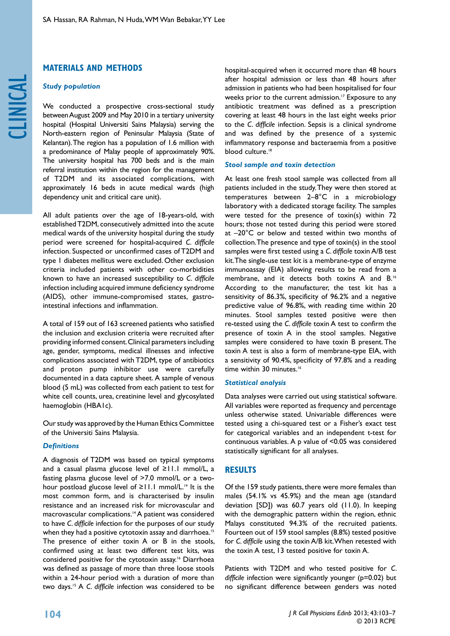## **MATERIALS AND METHODS**

## *Study population*

We conducted a prospective cross-sectional study between August 2009 and May 2010 in a tertiary university hospital (Hospital Universiti Sains Malaysia) serving the North-eastern region of Peninsular Malaysia (State of Kelantan). The region has a population of 1.6 million with a predominance of Malay people of approximately 90%. The university hospital has 700 beds and is the main referral institution within the region for the management of T2DM and its associated complications, with approximately 16 beds in acute medical wards (high dependency unit and critical care unit).

All adult patients over the age of 18-years-old, with established T2DM, consecutively admitted into the acute medical wards of the university hospital during the study period were screened for hospital-acquired *C. difficile* infection. Suspected or unconfirmed cases of T2DM and type 1 diabetes mellitus were excluded. Other exclusion criteria included patients with other co-morbidities known to have an increased susceptibility to *C. difficile* infection including acquired immune deficiency syndrome (AIDS), other immune-compromised states, gastrointestinal infections and inflammation.

A total of 159 out of 163 screened patients who satisfied the inclusion and exclusion criteria were recruited after providing informed consent. Clinical parameters including age, gender, symptoms, medical illnesses and infective complications associated with T2DM, type of antibiotics and proton pump inhibitor use were carefully documented in a data capture sheet. A sample of venous blood (5 mL) was collected from each patient to test for white cell counts, urea, creatinine level and glycosylated haemoglobin (HBA1c).

Our study was approved by the Human Ethics Committee of the Universiti Sains Malaysia.

## *Definitions*

A diagnosis of T2DM was based on typical symptoms and a casual plasma glucose level of ≥11.1 mmol/L, a fasting plasma glucose level of >7.0 mmol/L or a twohour postload glucose level of  $≥11.1$  mmol/L.<sup>14</sup> It is the most common form, and is characterised by insulin resistance and an increased risk for microvascular and macrovascular complications.<sup>14</sup> A patient was considered to have *C. difficile* infection for the purposes of our study when they had a positive cytotoxin assay and diarrhoea.<sup>15</sup> The presence of either toxin A or B in the stools, confirmed using at least two different test kits, was considered positive for the cytotoxin assay.16 Diarrhoea was defined as passage of more than three loose stools within a 24-hour period with a duration of more than two days.15 A *C. difficile* infection was considered to be

hospital-acquired when it occurred more than 48 hours after hospital admission or less than 48 hours after admission in patients who had been hospitalised for four weeks prior to the current admission.<sup>17</sup> Exposure to any antibiotic treatment was defined as a prescription covering at least 48 hours in the last eight weeks prior to the *C. difficile* infection. Sepsis is a clinical syndrome and was defined by the presence of a systemic inflammatory response and bacteraemia from a positive blood culture.<sup>18</sup>

## *Stool sample and toxin detection*

At least one fresh stool sample was collected from all patients included in the study. They were then stored at temperatures between 2–8°C in a microbiology laboratory with a dedicated storage facility. The samples were tested for the presence of toxin(s) within 72 hours; those not tested during this period were stored at –20°C or below and tested within two months of collection. The presence and type of toxin(s) in the stool samples were first tested using a *C. difficile* toxin A/B test kit. The single-use test kit is a membrane-type of enzyme immunoassay (EIA) allowing results to be read from a membrane, and it detects both toxins A and B.16 According to the manufacturer, the test kit has a sensitivity of 86.3%, specificity of 96.2% and a negative predictive value of 96.8%, with reading time within 20 minutes. Stool samples tested positive were then re-tested using the *C. difficile* toxin A test to confirm the presence of toxin A in the stool samples. Negative samples were considered to have toxin B present. The toxin A test is also a form of membrane-type EIA, with a sensitivity of 90.4%, specificity of 97.8% and a reading time within 30 minutes.<sup>16</sup>

## *Statistical analysis*

Data analyses were carried out using statistical software. All variables were reported as frequency and percentage unless otherwise stated. Univariable differences were tested using a chi-squared test or a Fisher's exact test for categorical variables and an independent t-test for continuous variables. A p value of <0.05 was considered statistically significant for all analyses.

## **RESULTS**

Of the 159 study patients, there were more females than males (54.1% vs 45.9%) and the mean age (standard deviation [SD]) was 60.7 years old (11.0). In keeping with the demographic pattern within the region, ethnic Malays constituted 94.3% of the recruited patients. Fourteen out of 159 stool samples (8.8%) tested positive for *C. difficile* using the toxin A/B kit. When retested with the toxin A test, 13 tested positive for toxin A.

Patients with T2DM and who tested positive for *C. difficile* infection were significantly younger (p=0.02) but no significant difference between genders was noted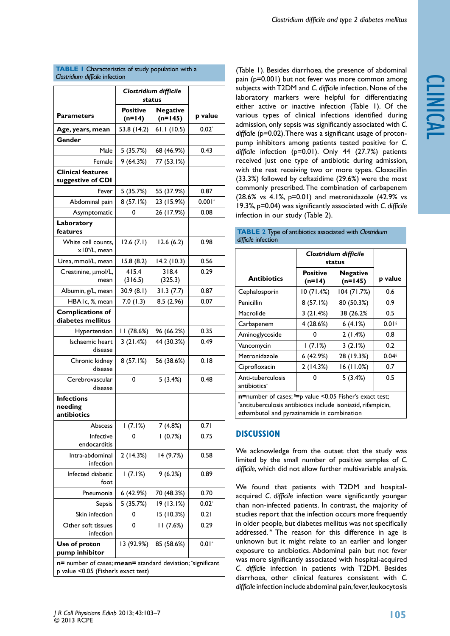clinical

## **TABLE 1** Characteristics of study population with a *Clostridium difficile* infection

|                                                                                                    | Clostridium difficile<br>status |                              |          |  |
|----------------------------------------------------------------------------------------------------|---------------------------------|------------------------------|----------|--|
| <b>Parameters</b>                                                                                  | <b>Positive</b><br>$(n=14)$     | <b>Negative</b><br>$(n=145)$ | p value  |  |
| Age, years, mean                                                                                   | 53.8 (14.2)                     | 61.1(10.5)                   | $0.02*$  |  |
| Gender                                                                                             |                                 |                              |          |  |
| Male                                                                                               | 5 (35.7%)                       | 68 (46.9%)                   | 0.43     |  |
| Female                                                                                             | 9(64.3%)                        | 77 (53.1%)                   |          |  |
| <b>Clinical features</b><br>suggestive of CDI                                                      |                                 |                              |          |  |
| Fever                                                                                              | 5 (35.7%)                       | 55 (37.9%)                   | 0.87     |  |
| Abdominal pain                                                                                     | 8(57.1%)                        | 23 (15.9%)                   | $0.001*$ |  |
| Asymptomatic                                                                                       | 0                               | 26 (17.9%)                   | 0.08     |  |
| Laboratory<br>features                                                                             |                                 |                              |          |  |
| White cell counts,<br>x10 <sup>9</sup> /L, mean                                                    | 12.6(7.1)                       | 12.6(6.2)                    | 0.98     |  |
| Urea, mmol/L, mean                                                                                 | 15.8 (8.2)                      | 14.2 (10.3)                  | 0.56     |  |
| Creatinine, µmol/L,<br>mean                                                                        | 415.4<br>(316.5)                | 318.4<br>(325.3)             | 0.29     |  |
| Albumin, g/L, mean                                                                                 | 30.9(8.1)                       | 31.3(7.7)                    | 0.87     |  |
| HBAIc, %, mean                                                                                     | 7.0(1.3)                        | 8.5 (2.96)                   | 0.07     |  |
| <b>Complications of</b><br>diabetes mellitus                                                       |                                 |                              |          |  |
| Hypertension                                                                                       | 11 (78.6%)                      | 96 (66.2%)                   | 0.35     |  |
| Ischaemic heart<br>disease                                                                         | 3(21.4%)                        | 44 (30.3%)                   | 0.49     |  |
| Chronic kidney<br>disease                                                                          | 8(57.1%)                        | 56 (38.6%)                   | 0.18     |  |
| Cerebrovascular<br>disease                                                                         | 0                               | 5(3.4%)                      | 0.48     |  |
| <b>Infections</b><br>needing<br>antibiotics                                                        |                                 |                              |          |  |
| Abscess                                                                                            | 1(7.1%)                         | 7 (4.8%)                     | 0.71     |  |
| Infective<br>endocarditis                                                                          | 0                               | 1(0.7%)                      | 0.75     |  |
| Intra-abdominal<br>infection                                                                       | 2(14.3%)                        | 14 (9.7%)                    | 0.58     |  |
| Infected diabetic<br>foot                                                                          | 1(7.1%)                         | 9(6.2%)                      | 0.89     |  |
| Pneumonia                                                                                          | 6 (42.9%)                       | 70 (48.3%)                   | 0.70     |  |
| Sepsis                                                                                             | 5 (35.7%)                       | 19 (13.1%)                   | $0.02*$  |  |
| Skin infection                                                                                     | 0                               | 15 (10.3%)                   | 0.21     |  |
| Other soft tissues<br>infection                                                                    | 0                               | 11(7.6%)                     | 0.29     |  |
| Use of proton<br>pump inhibitor                                                                    | 13 (92.9%)                      | 85 (58.6%)                   | $0.01*$  |  |
| n= number of cases; mean= standard deviation; *significant<br>p value < 0.05 (Fisher's exact test) |                                 |                              |          |  |

(Table 1). Besides diarrhoea, the presence of abdominal pain (p=0.001) but not fever was more common among subjects with T2DM and *C. difficile* infection. None of the laboratory markers were helpful for differentiating either active or inactive infection (Table 1). Of the various types of clinical infections identified during admission, only sepsis was significantly associated with *C.*  difficile (p=0.02). There was a significant usage of protonpump inhibitors among patients tested positive for *C. difficile* infection (p=0.01). Only 44 (27.7%) patients received just one type of antibiotic during admission, with the rest receiving two or more types. Cloxacillin (33.3%) followed by ceftazidime (29.6%) were the most commonly prescribed. The combination of carbapenem (28.6% vs 4.1%, p=0.01) and metronidazole (42.9% vs 19.3%, p=0.04) was significantly associated with *C. difficile* infection in our study (Table 2).

|                                                                                                                                                                             | Clostridium difficile<br>status |                              |                     |  |
|-----------------------------------------------------------------------------------------------------------------------------------------------------------------------------|---------------------------------|------------------------------|---------------------|--|
| <b>Antibiotics</b>                                                                                                                                                          | <b>Positive</b><br>$(n=14)$     | <b>Negative</b><br>$(n=145)$ | p value             |  |
| Cephalosporin                                                                                                                                                               | 10(71.4%)                       | 104 (71.7%)                  | 0.6                 |  |
| Penicillin                                                                                                                                                                  | 8(57.1%)                        | 80 (50.3%)                   | 0.9                 |  |
| Macrolide                                                                                                                                                                   | 3(21.4%)                        | 38 (26.2%                    | 0.5                 |  |
| Carbapenem                                                                                                                                                                  | 4(28.6%)                        | 6(4.1%)                      | 0.01                |  |
| Aminoglycoside                                                                                                                                                              | 0                               | 2(1.4%)                      | 0.8                 |  |
| Vancomycin                                                                                                                                                                  | 1(7.1%)                         | 3(2.1%)                      | 0.2                 |  |
| Metronidazole                                                                                                                                                               | 6(42.9%)                        | 28 (19.3%)                   | $0.04$ <sup>§</sup> |  |
| Ciprofloxacin                                                                                                                                                               | 2(14.3%)                        | 16 (11.0%)                   | 0.7                 |  |
| Anti-tuberculosis<br>antibiotics <sup>*</sup>                                                                                                                               | n                               | 5(3.4%)                      | 0.5                 |  |
| $n$ =number of cases; $s$ =p value <0.05 Fisher's exact test;<br>*antituberculosis antibiotics include isoniazid, rifampicin,<br>ethambutol and pyrazinamide in combination |                                 |                              |                     |  |

#### **table 2** Type of antibiotics associated with *Clostridium difficile* infection

# **DISCUSSION**

We acknowledge from the outset that the study was limited by the small number of positive samples of *C. difficile*, which did not allow further multivariable analysis.

We found that patients with T2DM and hospitalacquired *C. difficile* infection were significantly younger than non-infected patients. In contrast, the majority of studies report that the infection occurs more frequently in older people, but diabetes mellitus was not specifically addressed.<sup>19</sup> The reason for this difference in age is unknown but it might relate to an earlier and longer exposure to antibiotics. Abdominal pain but not fever was more significantly associated with hospital-acquired *C. difficile* infection in patients with T2DM. Besides diarrhoea, other clinical features consistent with *C. difficile* infection include abdominal pain, fever, leukocytosis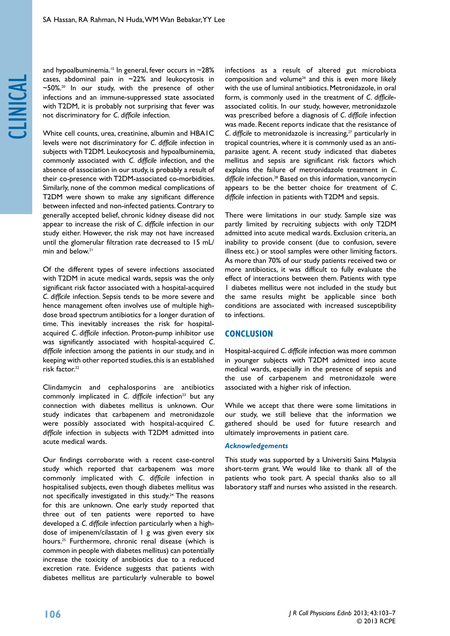clinical

White cell counts, urea, creatinine, albumin and HBA1C levels were not discriminatory for *C. difficile* infection in subjects with T2DM. Leukocytosis and hypoalbuminemia, commonly associated with *C. difficile* infection, and the absence of association in our study, is probably a result of their co-presence with T2DM-associated co-morbidities. Similarly, none of the common medical complications of T2DM were shown to make any significant difference between infected and non-infected patients. Contrary to generally accepted belief, chronic kidney disease did not appear to increase the risk of *C. difficile* infection in our study either. However, the risk may not have increased until the glomerular filtration rate decreased to 15 mL/ min and below.<sup>21</sup>

Of the different types of severe infections associated with T2DM in acute medical wards, sepsis was the only significant risk factor associated with a hospital-acquired *C. difficile* infection. Sepsis tends to be more severe and hence management often involves use of multiple highdose broad spectrum antibiotics for a longer duration of time. This inevitably increases the risk for hospitalacquired *C. difficile* infection. Proton-pump inhibitor use was significantly associated with hospital-acquired *C. difficile* infection among the patients in our study, and in keeping with other reported studies, this is an established risk factor.22

Clindamycin and cephalosporins are antibiotics commonly implicated in *C. difficile* infection<sup>23</sup> but any connection with diabetes mellitus is unknown. Our study indicates that carbapenem and metronidazole were possibly associated with hospital-acquired *C. difficile* infection in subjects with T2DM admitted into acute medical wards.

Our findings corroborate with a recent case-control study which reported that carbapenem was more commonly implicated with *C. difficile* infection in hospitalised subjects, even though diabetes mellitus was not specifically investigated in this study.<sup>24</sup> The reasons for this are unknown. One early study reported that three out of ten patients were reported to have developed a *C. difficile* infection particularly when a highdose of imipenem/cilastatin of 1 g was given every six hours.25 Furthermore, chronic renal disease (which is common in people with diabetes mellitus) can potentially increase the toxicity of antibiotics due to a reduced excretion rate. Evidence suggests that patients with diabetes mellitus are particularly vulnerable to bowel

infections as a result of altered gut microbiota composition and volume<sup>26</sup> and this is even more likely with the use of luminal antibiotics. Metronidazole, in oral form, is commonly used in the treatment of *C. difficile*associated colitis. In our study, however, metronidazole was prescribed before a diagnosis of *C. difficile* infection was made. Recent reports indicate that the resistance of *C. difficile* to metronidazole is increasing,<sup>27</sup> particularly in tropical countries, where it is commonly used as an antiparasite agent. A recent study indicated that diabetes mellitus and sepsis are significant risk factors which explains the failure of metronidazole treatment in *C. difficile* infection.28 Based on this information, vancomycin appears to be the better choice for treatment of *C. difficile* infection in patients with T2DM and sepsis.

There were limitations in our study. Sample size was partly limited by recruiting subjects with only T2DM admitted into acute medical wards. Exclusion criteria, an inability to provide consent (due to confusion, severe illness etc.) or stool samples were other limiting factors. As more than 70% of our study patients received two or more antibiotics, it was difficult to fully evaluate the effect of interactions between them. Patients with type 1 diabetes mellitus were not included in the study but the same results might be applicable since both conditions are associated with increased susceptibility to infections.

## **conclusion**

Hospital-acquired *C. difficile* infection was more common in younger subjects with T2DM admitted into acute medical wards, especially in the presence of sepsis and the use of carbapenem and metronidazole were associated with a higher risk of infection.

While we accept that there were some limitations in our study, we still believe that the information we gathered should be used for future research and ultimately improvements in patient care.

#### *Acknowledgements*

This study was supported by a Universiti Sains Malaysia short-term grant. We would like to thank all of the patients who took part. A special thanks also to all laboratory staff and nurses who assisted in the research.